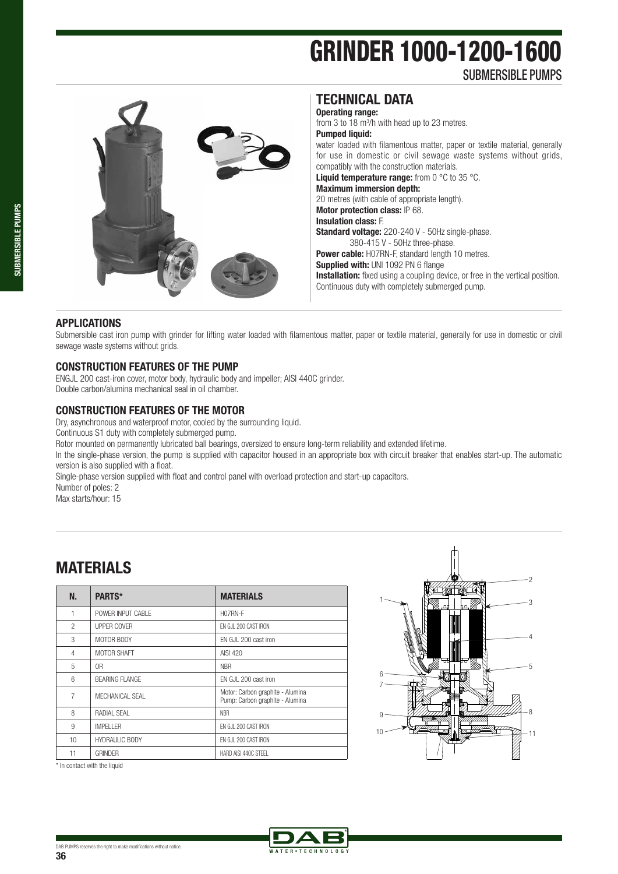# GRINDER 1000-1200-1600

SUBMERSIBLE PUMPS



### **TECHNICAL DATA**

**Operating range:** 

from 3 to 18 m<sup>3</sup>/h with head up to 23 metres. **Pumped liquid:**  water loaded with filamentous matter, paper or textile material, generally for use in domestic or civil sewage waste systems without grids, compatibly with the construction materials. **Liquid temperature range:** from 0 °C to 35 °C. **Maximum immersion depth:**  20 metres (with cable of appropriate length). **Motor protection class:** IP 68. **Insulation class:** F. **Standard voltage:** 220-240 V - 50Hz single-phase. 380-415 V - 50Hz three-phase. **Power cable:** H07RN-F, standard length 10 metres. **Supplied with: UNI 1092 PN 6 flange** 

**Installation:** fixed using a coupling device, or free in the vertical position. Continuous duty with completely submerged pump.

### **APPLICATIONS**

Submersible cast iron pump with grinder for lifting water loaded with filamentous matter, paper or textile material, generally for use in domestic or civil sewage waste systems without grids.

### **CONSTRUCTION FEATURES OF THE PUMP**

ENGJL 200 cast-iron cover, motor body, hydraulic body and impeller; AISI 440C grinder. Double carbon/alumina mechanical seal in oil chamber.

### **CONSTRUCTION FEATURES OF THE MOTOR**

Dry, asynchronous and waterproof motor, cooled by the surrounding liquid.

Continuous S1 duty with completely submerged pump.

Rotor mounted on permanently lubricated ball bearings, oversized to ensure long-term reliability and extended lifetime.

In the single-phase version, the pump is supplied with capacitor housed in an appropriate box with circuit breaker that enables start-up. The automatic version is also supplied with a float.

Single-phase version supplied with float and control panel with overload protection and start-up capacitors.

Number of poles: 2

Max starts/hour: 15

# **MATERIALS**

| N.             | PARTS*                | <b>MATERIALS</b>                                                    |
|----------------|-----------------------|---------------------------------------------------------------------|
| 1              | POWER INPUT CABLE     | H07RN-F                                                             |
| $\mathfrak{p}$ | UPPER COVER           | EN GJL 200 CAST IRON                                                |
| 3              | MOTOR BODY            | FN GJL 200 cast iron                                                |
| $\overline{4}$ | MOTOR SHAFT           | AISI 420                                                            |
| 5              | 0 <sub>R</sub>        | <b>NBR</b>                                                          |
| 6              | <b>BEARING FLANGE</b> | EN GJL 200 cast iron                                                |
| $\overline{7}$ | MECHANICAL SEAL       | Motor: Carbon graphite - Alumina<br>Pump: Carbon graphite - Alumina |
| 8              | RADIAI SFAI           | <b>NBR</b>                                                          |
| 9              | <b>IMPFI I FR</b>     | EN GJL 200 CAST IRON                                                |
| 10             | <b>HYDRAULIC BODY</b> | EN GJL 200 CAST IRON                                                |
| 11             | <b>GRINDER</b>        | HARD AISI 440C STEEL                                                |



\* In contact with the liquid

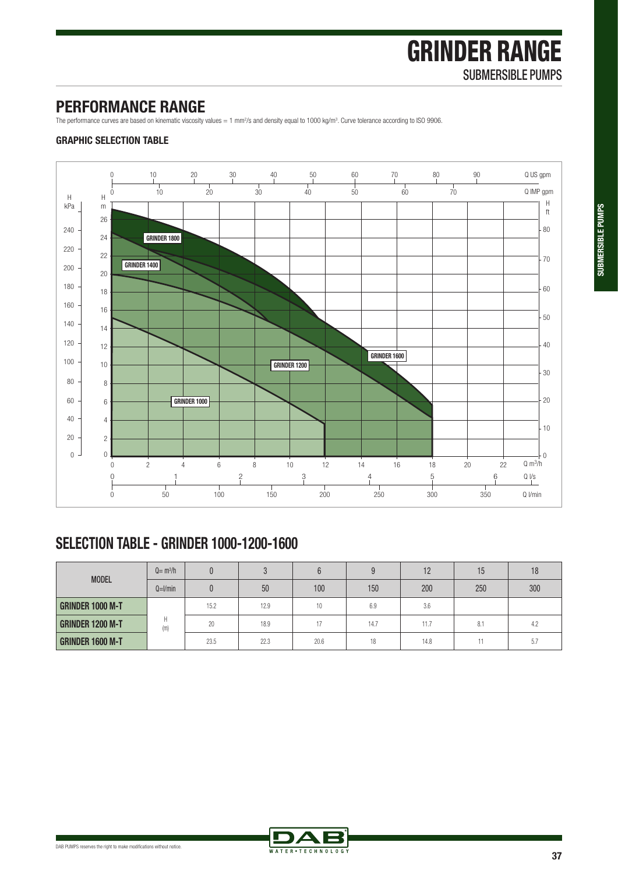**SUBMERSIBLE PUMPS**

SUBMERSIBLE PUMPS

# GRINDER RANGE SUBMERSIBLE PUMPS

## **PERFORMANCE RANGE**

The performance curves are based on kinematic viscosity values = 1 mm<sup>2</sup>/s and density equal to 1000 kg/m<sup>3</sup>. Curve tolerance according to ISO 9906.

#### **GRAPHIC SELECTION TABLE**



# **SELECTION TABLE - GRINDER 1000-1200-1600**

|                         | $Q = m3/h$ |      | n    |      | a    | 12   | 15  | 18  |
|-------------------------|------------|------|------|------|------|------|-----|-----|
| <b>MODEL</b>            | $Q=1/min$  |      | 50   | 100  | 150  | 200  | 250 | 300 |
| <b>GRINDER 1000 M-T</b> |            | 15.2 | 12.9 | 10   | 6.9  | 3.6  |     |     |
| <b>GRINDER 1200 M-T</b> | H<br>(m)   | 20   | 18.9 | 17   | 14.7 | 11.7 | 8.1 | 4.2 |
| <b>GRINDER 1600 M-T</b> |            | 23.5 | 22.3 | 20.6 | 18   | 14.8 |     | 5.7 |